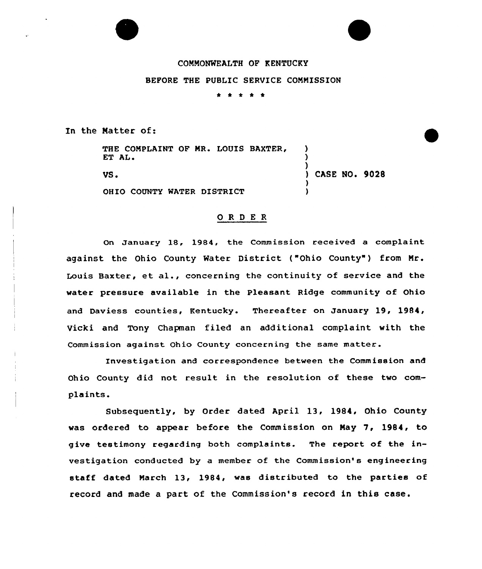

# COMMONNEALTH OF KENTUCKY

#### BEFORE THE PUBLIC SERVICE COMMISSION

\* \* \*

In the Matter of:

THE COMPLAINT OF MR. LOUIS BAXTER, ET AL.

VS <sup>~</sup>

OHIO COUNTY WATER DISTRICT

) CASE NO. 9028

) ) )

> ) )

## ORDER

On January 18, 1984, the Commission received a comp1aint against the Ohio County Water District ("Ohio County") from Mr. Louis Baxter, et al., concerning the continuity of service and the water pressure available in the Pleasant Ridge community of Ohio and Daviess counties, Kentucky. Thereafter on January 19, 1984, Vicki and Tony Chapman filed an additional complaint with the Commission against Ohio County concerning the same matter.

Investigation and correspondence between the Commission and Ohio County did not result in the resolution of these two complaints.

Subsequently, by Order dated April 13, 1984, Ohio County was ordered to appear before the Commission on May 7, 19S4, to give testimony regarding both complaints. The report of the investigation conducted by a member of the Commission's engineering staff dated March 13, 1984, was distributed to the parties of record and made a part of the Commission's record in this case.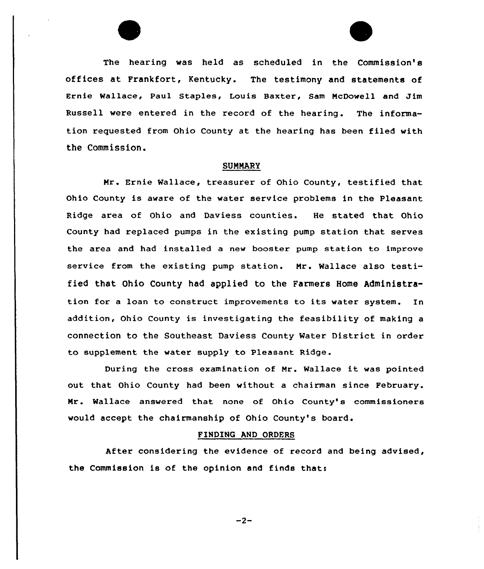The hearing was held as scheduled in the Commission's offices at Frankfort, Kentucky. The testimony and statements of Ernie Wallace, Paul Staples< Louis Baxter, Sam NcDowell and Jim Russell were entered in the record of the hearing. The information requested from Ohio County at the hearing has been filed with the Commission.

### **SUMMARY**

Mr . Ernie Wallace, treasurer of Ohio County, testified that Ohio County is aware of the water service problems in the Pleasant Ridge area of Ohio and Daviess counties. He stated that Ohio County had replaced pumps in the existing pump station that serves the area and had installed a new booster pump station to improve service from the existing pump station. Nr. Wallace also testified that Ohio County had applied to the Farmers Home Administration for <sup>a</sup> loan to construct improvements to its water system. In addition, Ohio County is investigating the feasibility of making <sup>a</sup> connection to the Southeast Daviess County Water District in order to supplement the water supply to Pleasant Ridge.

During the cross examination of Mr. Wallace it was pointed out that Ohio County had been without a chairman since February. Nr. Wallace answered that none of Ohio County's commissioners would accept the chairmanship of Ohio County's board.

### FINDING AND ORDERS

After considering the evidence of record and being advised, the Commission is of the opinion and finds thati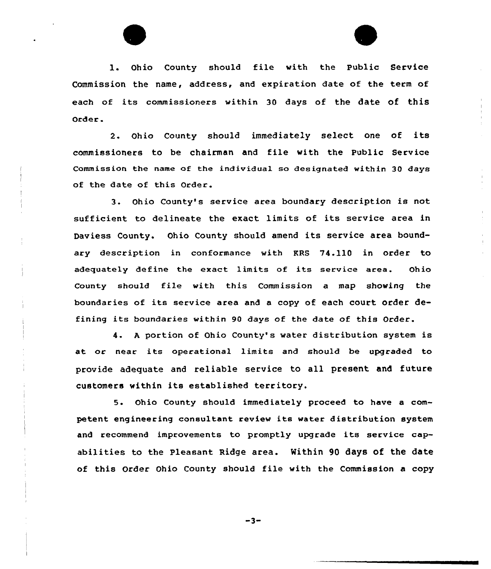

l. Ohio County should <sup>f</sup>ile with the Public Service Commission the name, address, and expiration date of the term of each of its commissioners within 30 days of the date of this Order .

2. Ohio County should immediately select one of its commissioners to be chairman and file with the Public Service Commission the name of the individual so designated within 30 days of the date of this Order.

3. Ohio County's service area boundary description is not suf ficient to delineate the exact limits of its service area in Daviess County. Ohio County should amend its service area boundary description in conformance with KRS 74.110 in order to adequately define the exact limits of its service area. Ohio County should file with this Commission a map showing the boundaries of its service area and <sup>a</sup> copy of each court order defining its boundaries within <sup>90</sup> days of the date of this Order.

4. <sup>A</sup> portion of Ohio County's water distribution system is at or near its operational limits and should be upgraded to provide adequate and reliable service to all present and future customers within its established territory.

5. Ohio County should immediately proceed to have a competent engineering consultant review its water distribution system and recommend improvements to promptly upgrade its service capabilities to the Pleasant Ridge area. Within 90 days of the date of this Order Ohio County should file with the Commission a copy

 $-3-$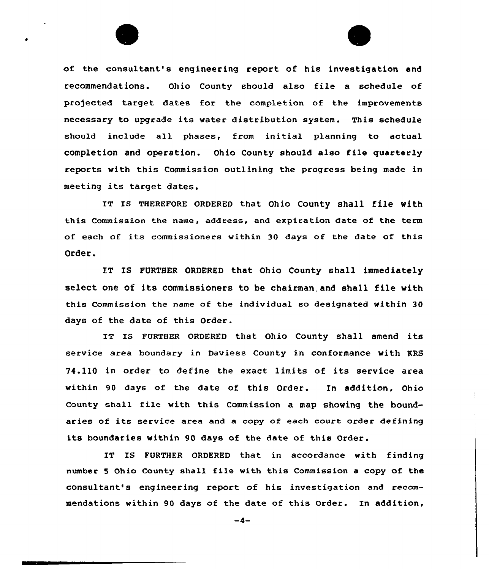



of the consultant's engineering report of his investigation and recommendations. Ohio County should also file a schedule of projected target dates for the completion of the improvements necessary to upgrade its water distribution system. This schedule should include all phases, from initial planning to actual completion and operation. Ohio County should also file quarterly reports with this Commission outlining the progress being made in meeting its target dates.

IT IS THEREFORE ORDERED that Ohio County shall file with this Commission the name, address, and expiration date of the term of each of its commissioners within 30 days of the date of this Order.

IT IS FURTHER ORDERED that Ohio County shall immediately select one of its commissioners to be chairman,and shall file with this Commission the name of the individual so designated within 30 days of the date of this Order.

IT IS FURTHER ORDERED that Ohio County shall amend its service area boundary in Daviess County in conformance with KRS 74.110 in order to define the exact limits of its service area within 90 days of the date of this Order. In addition, Ohio County shall file with this Commission a map showing the boundaries of its service area and <sup>a</sup> copy of each court order defining its boundaries within 90 days of the date of this Order.

IT IS FURTHER ORDERED that in accordance with finding number <sup>5</sup> Ohio County shall file with this Commission <sup>a</sup> copy of the consultant's engineering report of his investigation and recommendations within 90 days of the date of this Order. In addition,

 $-4-$